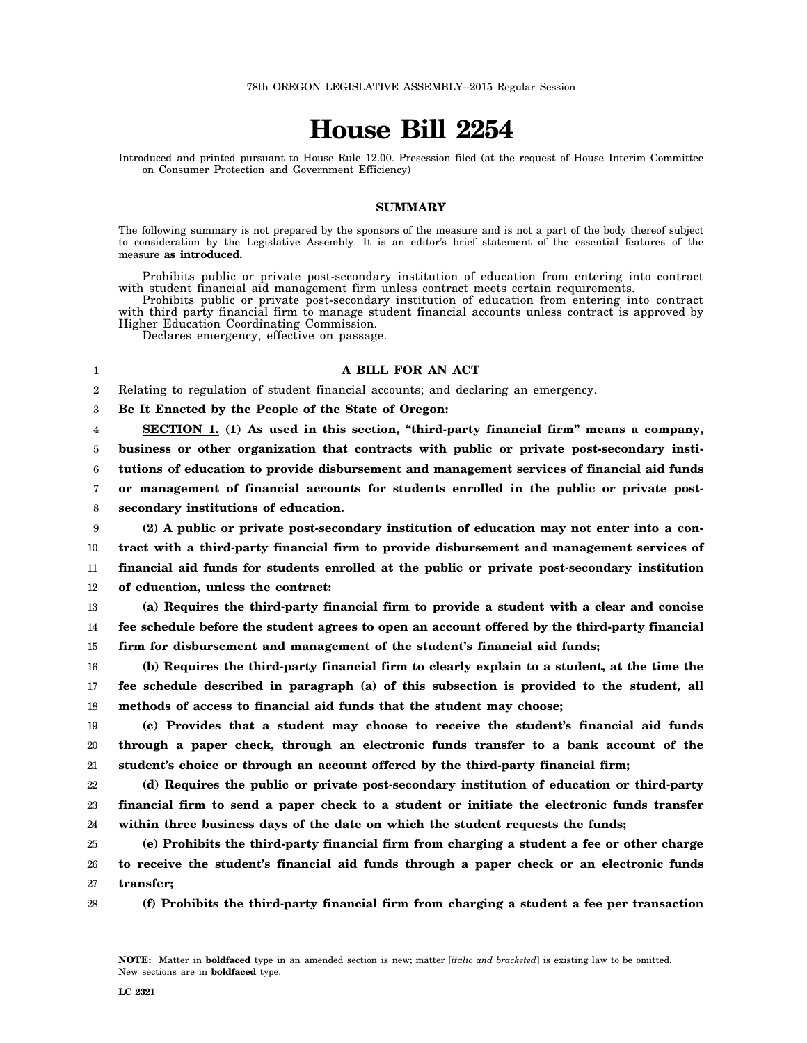## **House Bill 2254**

Introduced and printed pursuant to House Rule 12.00. Presession filed (at the request of House Interim Committee on Consumer Protection and Government Efficiency)

## **SUMMARY**

The following summary is not prepared by the sponsors of the measure and is not a part of the body thereof subject to consideration by the Legislative Assembly. It is an editor's brief statement of the essential features of the measure **as introduced.**

Prohibits public or private post-secondary institution of education from entering into contract with student financial aid management firm unless contract meets certain requirements.

Prohibits public or private post-secondary institution of education from entering into contract with third party financial firm to manage student financial accounts unless contract is approved by Higher Education Coordinating Commission.

Declares emergency, effective on passage.

## **A BILL FOR AN ACT**

2 Relating to regulation of student financial accounts; and declaring an emergency.

3 **Be It Enacted by the People of the State of Oregon:**

4 5 6 7 8 **SECTION 1. (1) As used in this section, "third-party financial firm" means a company, business or other organization that contracts with public or private post-secondary institutions of education to provide disbursement and management services of financial aid funds or management of financial accounts for students enrolled in the public or private postsecondary institutions of education.**

9 10 11 12 **(2) A public or private post-secondary institution of education may not enter into a contract with a third-party financial firm to provide disbursement and management services of financial aid funds for students enrolled at the public or private post-secondary institution of education, unless the contract:**

13 14 15 **(a) Requires the third-party financial firm to provide a student with a clear and concise fee schedule before the student agrees to open an account offered by the third-party financial firm for disbursement and management of the student's financial aid funds;**

16 17 18 **(b) Requires the third-party financial firm to clearly explain to a student, at the time the fee schedule described in paragraph (a) of this subsection is provided to the student, all methods of access to financial aid funds that the student may choose;**

19 20 21 **(c) Provides that a student may choose to receive the student's financial aid funds through a paper check, through an electronic funds transfer to a bank account of the student's choice or through an account offered by the third-party financial firm;**

22 23 24 **(d) Requires the public or private post-secondary institution of education or third-party financial firm to send a paper check to a student or initiate the electronic funds transfer within three business days of the date on which the student requests the funds;**

25 26 27 **(e) Prohibits the third-party financial firm from charging a student a fee or other charge to receive the student's financial aid funds through a paper check or an electronic funds transfer;**

28 **(f) Prohibits the third-party financial firm from charging a student a fee per transaction**

1